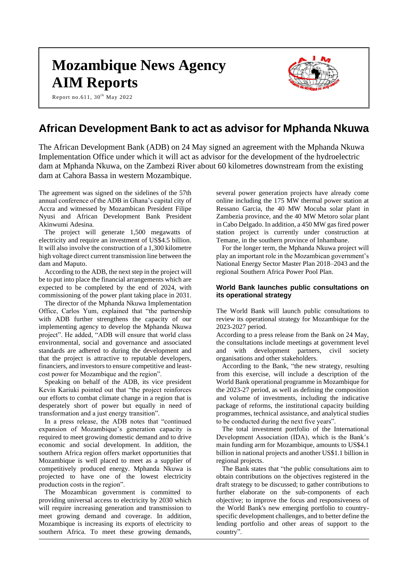# **Mozambique News Agency AIM Reports**



Report no.611,  $30<sup>th</sup>$  May 2022

# **African Development Bank to act as advisor for Mphanda Nkuwa**

The African Development Bank (ADB) on 24 May signed an agreement with the Mphanda Nkuwa Implementation Office under which it will act as advisor for the development of the hydroelectric dam at Mphanda Nkuwa, on the Zambezi River about 60 kilometres downstream from the existing dam at Cahora Bassa in western Mozambique.

The agreement was signed on the sidelines of the 57th annual conference of the ADB in Ghana's capital city of Accra and witnessed by Mozambican President Filipe Nyusi and African Development Bank President Akinwumi Adesina.

The project will generate 1,500 megawatts of electricity and require an investment of US\$4.5 billion. It will also involve the construction of a 1,300 kilometre high voltage direct current transmission line between the dam and Maputo.

According to the ADB, the next step in the project will be to put into place the financial arrangements which are expected to be completed by the end of 2024, with commissioning of the power plant taking place in 2031.

The director of the Mphanda Nkuwa Implementation Office, Carlos Yum, explained that "the partnership with ADB further strengthens the capacity of our implementing agency to develop the Mphanda Nkuwa project". He added, "ADB will ensure that world class environmental, social and governance and associated standards are adhered to during the development and that the project is attractive to reputable developers, financiers, and investors to ensure competitive and leastcost power for Mozambique and the region".

Speaking on behalf of the ADB, its vice president Kevin Kariuki pointed out that "the project reinforces our efforts to combat climate change in a region that is desperately short of power but equally in need of transformation and a just energy transition".

In a press release, the ADB notes that "continued expansion of Mozambique's generation capacity is required to meet growing domestic demand and to drive economic and social development. In addition, the southern Africa region offers market opportunities that Mozambique is well placed to meet as a supplier of competitively produced energy. Mphanda Nkuwa is projected to have one of the lowest electricity production costs in the region".

The Mozambican government is committed to providing universal access to electricity by 2030 which will require increasing generation and transmission to meet growing demand and coverage. In addition, Mozambique is increasing its exports of electricity to southern Africa. To meet these growing demands,

several power generation projects have already come online including the 175 MW thermal power station at Ressano Garcia, the 40 MW Mocuba solar plant in Zambezia province, and the 40 MW Metoro solar plant in Cabo Delgado. In addition, a 450 MW gas fired power station project is currently under construction at Temane, in the southern province of Inhambane.

For the longer term, the Mphanda Nkuwa project will play an important role in the Mozambican government's National Energy Sector Master Plan 2018–2043 and the regional Southern Africa Power Pool Plan.

#### **World Bank launches public consultations on its operational strategy**

The World Bank will launch public consultations to review its operational strategy for Mozambique for the 2023-2027 period.

According to a press release from the Bank on 24 May, the consultations include meetings at government level and with development partners, civil society organisations and other stakeholders.

According to the Bank, "the new strategy, resulting from this exercise, will include a description of the World Bank operational programme in Mozambique for the 2023-27 period, as well as defining the composition and volume of investments, including the indicative package of reforms, the institutional capacity building programmes, technical assistance, and analytical studies to be conducted during the next five years".

The total investment portfolio of the International Development Association (IDA), which is the Bank's main funding arm for Mozambique, amounts to US\$4.1 billion in national projects and another US\$1.1 billion in regional projects.

The Bank states that "the public consultations aim to obtain contributions on the objectives registered in the draft strategy to be discussed; to gather contributions to further elaborate on the sub-components of each objective; to improve the focus and responsiveness of the World Bank's new emerging portfolio to countryspecific development challenges, and to better define the lending portfolio and other areas of support to the country".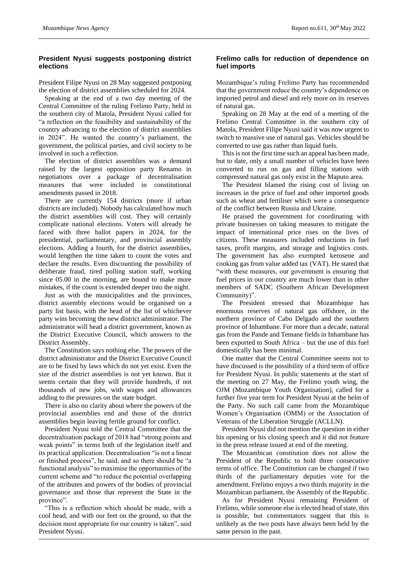#### **President Nyusi suggests postponing district elections**

President Filipe Nyusi on 28 May suggested postponing the election of district assemblies scheduled for 2024.

Speaking at the end of a two day meeting of the Central Committee of the ruling Frelimo Party, held in the southern city of Matola, President Nyusi called for "a reflection on the feasibility and sustainability of the country advancing to the election of district assemblies in 2024". He wanted the country's parliament, the government, the political parties, and civil society to be involved in such a reflection.

The election of district assemblies was a demand raised by the largest opposition party Renamo in negotiations over a package of decentralisation measures that were included in constitutional amendments passed in 2018.

There are currently 154 districts (more if urban districts are included). Nobody has calculated how much the district assemblies will cost. They will certainly complicate national elections. Voters will already be faced with three ballot papers in 2024, for the presidential, parliamentary, and provincial assembly elections. Adding a fourth, for the district assemblies, would lengthen the time taken to count the votes and declare the results. Even discounting the possibility of deliberate fraud, tired polling station staff, working since 05.00 in the morning, are bound to make more mistakes, if the count is extended deeper into the night.

Just as with the municipalities and the provinces, district assembly elections would be organised on a party list basis, with the head of the list of whichever party wins becoming the new district administrator. The administrator will head a district government, known as the District Executive Council, which answers to the District Assembly.

The Constitution says nothing else. The powers of the district administrator and the District Executive Council are to be fixed by laws which do not yet exist. Even the size of the district assemblies is not yet known. But it seems certain that they will provide hundreds, if not thousands of new jobs, with wages and allowances adding to the pressures on the state budget.

There is also no clarity about where the powers of the provincial assemblies end and those of the district assemblies begin leaving fertile ground for conflict.

President Nyusi told the Central Committee that the decentralisation package of 2018 had "strong points and weak points" in terms both of the legislation itself and its practical application. Decentralisation "is not a linear or finished process", he said, and so there should be "a functional analysis" to maximise the opportunities of the current scheme and "to reduce the potential overlapping of the attributes and powers of the bodies of provincial governance and those that represent the State in the province".

"This is a reflection which should be made, with a cool head, and with our feet on the ground, so that the decision most appropriate for our country is taken", said President Nyusi.

#### **Frelimo calls for reduction of dependence on fuel imports**

Mozambique's ruling Frelimo Party has recommended that the government reduce the country's dependence on imported petrol and diesel and rely more on its reserves of natural gas.

Speaking on 28 May at the end of a meeting of the Frelimo Central Committee in the southern city of Matola, President Filipe Nyusi said it was now urgent to switch to massive use of natural gas. Vehicles should be converted to use gas rather than liquid fuels.

This is not the first time such an appeal has been made, but to date, only a small number of vehicles have been converted to run on gas and filling stations with compressed natural gas only exist in the Maputo area.

The President blamed the rising cost of living on increases in the price of fuel and other imported goods such as wheat and fertiliser which were a consequence of the conflict between Russia and Ukraine.

He praised the government for coordinating with private businesses on taking measures to mitigate the impact of international price rises on the lives of citizens. These measures included reductions in fuel taxes, profit margins, and storage and logistics costs. The government has also exempted kerosene and cooking gas from value added tax (VAT). He stated that "with these measures, our government is ensuring that fuel prices in our country are much lower than in other members of SADC (Southern African Development Community)".

The President stressed that Mozambique has enormous reserves of natural gas offshore, in the northern province of Cabo Delgado and the southern province of Inhambane. For more than a decade, natural gas from the Pande and Temane fields in Inhambane has been exported to South Africa – but the use of this fuel domestically has been minimal.

One matter that the Central Committee seems not to have discussed is the possibility of a third term of office for President Nyusi. In public statements at the start of the meeting on 27 May, the Frelimo youth wing, the OJM (Mozambique Youth Organisation), called for a further five year term for President Nyusi at the helm of the Party. No such call came from the Mozambique Women's Organisation (OMM) or the Association of Veterans of the Liberation Struggle (ACLLN).

President Nyusi did not mention the question in either his opening or his closing speech and it did not feature in the press release issued at end of the meeting.

The Mozambican constitution does not allow the President of the Republic to hold three consecutive terms of office. The Constitution can be changed if two thirds of the parliamentary deputies vote for the amendment. Frelimo enjoys a two thirds majority in the Mozambican parliament, the Assembly of the Republic.

As for President Nyusi remaining President of Frelimo, while someone else is elected head of state, this is possible, but commentators suggest that this is unlikely as the two posts have always been held by the same person in the past.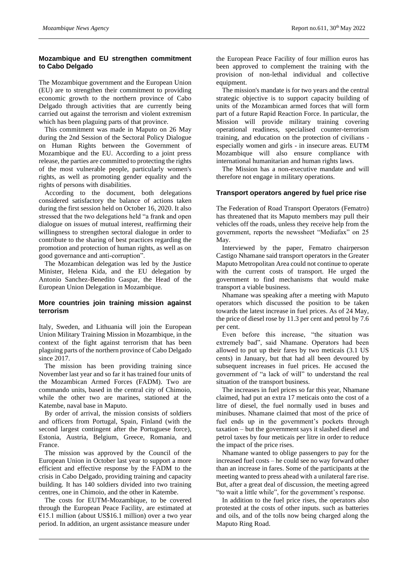# **Mozambique and EU strengthen commitment to Cabo Delgado**

The Mozambique government and the European Union (EU) are to strengthen their commitment to providing economic growth to the northern province of Cabo Delgado through activities that are currently being carried out against the terrorism and violent extremism which has been plaguing parts of that province.

This commitment was made in Maputo on 26 May during the 2nd Session of the Sectoral Policy Dialogue on Human Rights between the Government of Mozambique and the EU. According to a joint press release, the parties are committed to protecting the rights of the most vulnerable people, particularly women's rights, as well as promoting gender equality and the rights of persons with disabilities.

According to the document, both delegations considered satisfactory the balance of actions taken during the first session held on October 16, 2020. It also stressed that the two delegations held "a frank and open dialogue on issues of mutual interest, reaffirming their willingness to strengthen sectoral dialogue in order to contribute to the sharing of best practices regarding the promotion and protection of human rights, as well as on good governance and anti-corruption".

The Mozambican delegation was led by the Justice Minister, Helena Kida, and the EU delegation by Antonio Sanchez-Benedito Gaspar, the Head of the European Union Delegation in Mozambique.

# **More countries join training mission against terrorism**

Italy, Sweden, and Lithuania will join the European Union Military Training Mission in Mozambique, in the context of the fight against terrorism that has been plaguing parts of the northern province of Cabo Delgado since 2017.

The mission has been providing training since November last year and so far it has trained four units of the Mozambican Armed Forces (FADM). Two are commando units, based in the central city of Chimoio, while the other two are marines, stationed at the Katembe, naval base in Maputo.

By order of arrival, the mission consists of soldiers and officers from Portugal, Spain, Finland (with the second largest contingent after the Portuguese force), Estonia, Austria, Belgium, Greece, Romania, and France.

The mission was approved by the Council of the European Union in October last year to support a more efficient and effective response by the FADM to the crisis in Cabo Delgado, providing training and capacity building. It has 140 soldiers divided into two training centres, one in Chimoio, and the other in Katembe.

The costs for EUTM-Mozambique, to be covered through the European Peace Facility, are estimated at €15.1 million (about US\$16.1 million) over a two year period. In addition, an urgent assistance measure under

the European Peace Facility of four million euros has been approved to complement the training with the provision of non-lethal individual and collective equipment.

The mission's mandate is for two years and the central strategic objective is to support capacity building of units of the Mozambican armed forces that will form part of a future Rapid Reaction Force. In particular, the Mission will provide military training covering operational readiness, specialised counter-terrorism training, and education on the protection of civilians especially women and girls - in insecure areas. EUTM Mozambique will also ensure compliance with international humanitarian and human rights laws.

The Mission has a non-executive mandate and will therefore not engage in military operations.

# **Transport operators angered by fuel price rise**

The Federation of Road Transport Operators (Fematro) has threatened that its Maputo members may pull their vehicles off the roads, unless they receive help from the government, reports the newssheet "Mediafax" on 25 May.

Interviewed by the paper, Fematro chairperson Castigo Nhamane said transport operators in the Greater Maputo Metropolitan Area could not continue to operate with the current costs of transport. He urged the government to find mechanisms that would make transport a viable business.

Nhamane was speaking after a meeting with Maputo operators which discussed the position to be taken towards the latest increase in fuel prices. As of 24 May, the price of diesel rose by 11.3 per cent and petrol by 7.6 per cent.

Even before this increase, "the situation was extremely bad", said Nhamane. Operators had been allowed to put up their fares by two meticais (3.1 US cents) in January, but that had all been devoured by subsequent increases in fuel prices. He accused the government of "a lack of will" to understand the real situation of the transport business.

The increases in fuel prices so far this year, Nhamane claimed, had put an extra 17 meticais onto the cost of a litre of diesel, the fuel normally used in buses and minibuses. Nhamane claimed that most of the price of fuel ends up in the government's pockets through taxation – but the government says it slashed diesel and petrol taxes by four meticais per litre in order to reduce the impact of the price rises.

Nhamane wanted to oblige passengers to pay for the increased fuel costs – he could see no way forward other than an increase in fares. Some of the participants at the meeting wanted to press ahead with a unilateral fare rise. But, after a great deal of discussion, the meeting agreed "to wait a little while", for the government's response.

In addition to the fuel price rises, the operators also protested at the costs of other inputs. such as batteries and oils, and of the tolls now being charged along the Maputo Ring Road.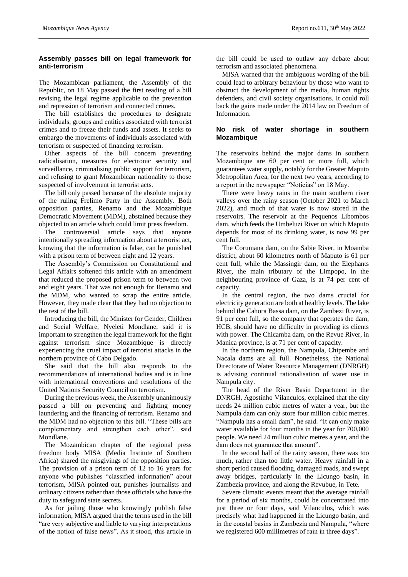# **Assembly passes bill on legal framework for anti-terrorism**

The Mozambican parliament, the Assembly of the Republic, on 18 May passed the first reading of a bill revising the legal regime applicable to the prevention and repression of terrorism and connected crimes.

The bill establishes the procedures to designate individuals, groups and entities associated with terrorist crimes and to freeze their funds and assets. It seeks to embargo the movements of individuals associated with terrorism or suspected of financing terrorism.

Other aspects of the bill concern preventing radicalisation, measures for electronic security and surveillance, criminalising public support for terrorism, and refusing to grant Mozambican nationality to those suspected of involvement in terrorist acts.

The bill only passed because of the absolute majority of the ruling Frelimo Party in the Assembly. Both opposition parties, Renamo and the Mozambique Democratic Movement (MDM), abstained because they objected to an article which could limit press freedom.

The controversial article says that anyone intentionally spreading information about a terrorist act, knowing that the information is false, can be punished with a prison term of between eight and 12 years.

The Assembly's Commission on Constitutional and Legal Affairs softened this article with an amendment that reduced the proposed prison term to between two and eight years. That was not enough for Renamo and the MDM, who wanted to scrap the entire article. However, they made clear that they had no objection to the rest of the bill.

Introducing the bill, the Minister for Gender, Children and Social Welfare, Nyeleti Mondlane, said it is important to strengthen the legal framework for the fight against terrorism since Mozambique is directly experiencing the cruel impact of terrorist attacks in the northern province of Cabo Delgado.

She said that the bill also responds to the recommendations of international bodies and is in line with international conventions and resolutions of the United Nations Security Council on terrorism.

During the previous week, the Assembly unanimously passed a bill on preventing and fighting money laundering and the financing of terrorism. Renamo and the MDM had no objection to this bill. "These bills are complementary and strengthen each other", said Mondlane.

The Mozambican chapter of the regional press freedom body MISA (Media Institute of Southern Africa) shared the misgivings of the opposition parties. The provision of a prison term of 12 to 16 years for anyone who publishes "classified information" about terrorism, MISA pointed out, punishes journalists and ordinary citizens rather than those officials who have the duty to safeguard state secrets.

As for jailing those who knowingly publish false information, MISA argued that the terms used in the bill "are very subjective and liable to varying interpretations of the notion of false news". As it stood, this article in

the bill could be used to outlaw any debate about terrorism and associated phenomena.

MISA warned that the ambiguous wording of the bill could lead to arbitrary behaviour by those who want to obstruct the development of the media, human rights defenders, and civil society organisations. It could roll back the gains made under the 2014 law on Freedom of Information.

# **No risk of water shortage in southern Mozambique**

The reservoirs behind the major dams in southern Mozambique are 60 per cent or more full, which guarantees water supply, notably for the Greater Maputo Metropolitan Area, for the next two years, according to a report in the newspaper "Noticias" on 18 May.

There were heavy rains in the main southern river valleys over the rainy season (October 2021 to March 2022), and much of that water is now stored in the reservoirs. The reservoir at the Pequenos Libombos dam, which feeds the Umbeluzi River on which Maputo depends for most of its drinking water, is now 99 per cent full.

The Corumana dam, on the Sabie River, in Moamba district, about 60 kilometres north of Maputo is 61 per cent full, while the Massingir dam, on the Elephants River, the main tributary of the Limpopo, in the neighbouring province of Gaza, is at 74 per cent of capacity.

In the central region, the two dams crucial for electricity generation are both at healthy levels. The lake behind the Cahora Bassa dam, on the Zambezi River, is 91 per cent full, so the company that operates the dam, HCB, should have no difficulty in providing its clients with power. The Chicamba dam, on the Revue River, in Manica province, is at 71 per cent of capacity.

In the northern region, the Nampula, Chipembe and Nacala dams are all full. Nonetheless, the National Directorate of Water Resource Management (DNRGH) is advising continual rationalisation of water use in Nampula city.

The head of the River Basin Department in the DNRGH, Agostinho Vilanculos, explained that the city needs 24 million cubic metres of water a year, but the Nampula dam can only store four million cubic metres. "Nampula has a small dam", he said. "It can only make water available for four months in the year for 700,000 people. We need 24 million cubic metres a year, and the dam does not guarantee that amount".

In the second half of the rainy season, there was too much, rather than too little water. Heavy rainfall in a short period caused flooding, damaged roads, and swept away bridges, particularly in the Licungo basin, in Zambezia province, and along the Revubue, in Tete.

Severe climatic events meant that the average rainfall for a period of six months, could be concentrated into just three or four days, said Vilanculos, which was precisely what had happened in the Licungo basin, and in the coastal basins in Zambezia and Nampula, "where we registered 600 millimetres of rain in three days".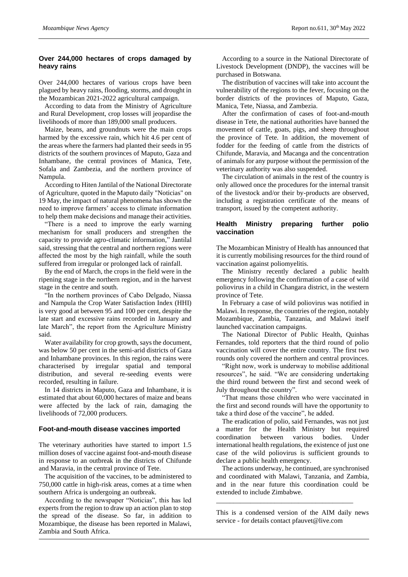#### **Over 244,000 hectares of crops damaged by heavy rains**

Over 244,000 hectares of various crops have been plagued by heavy rains, flooding, storms, and drought in the Mozambican 2021-2022 agricultural campaign.

According to data from the Ministry of Agriculture and Rural Development, crop losses will jeopardise the livelihoods of more than 189,000 small producers.

Maize, beans, and groundnuts were the main crops harmed by the excessive rain, which hit 4.6 per cent of the areas where the farmers had planted their seeds in 95 districts of the southern provinces of Maputo, Gaza and Inhambane, the central provinces of Manica, Tete, Sofala and Zambezia, and the northern province of Nampula.

According to Hiten Jantilal of the National Directorate of Agriculture, quoted in the Maputo daily "Noticias" on 19 May, the impact of natural phenomena has shown the need to improve farmers' access to climate information to help them make decisions and manage their activities.

"There is a need to improve the early warning mechanism for small producers and strengthen the capacity to provide agro-climatic information," Jantilal said, stressing that the central and northern regions were affected the most by the high rainfall, while the south suffered from irregular or prolonged lack of rainfall.

By the end of March, the crops in the field were in the ripening stage in the northern region, and in the harvest stage in the centre and south.

"In the northern provinces of Cabo Delgado, Niassa and Nampula the Crop Water Satisfaction Index (HHI) is very good at between 95 and 100 per cent, despite the late start and excessive rains recorded in January and late March", the report from the Agriculture Ministry said.

Water availability for crop growth, says the document, was below 50 per cent in the semi-arid districts of Gaza and Inhambane provinces. In this region, the rains were characterised by irregular spatial and temporal distribution, and several re-seeding events were recorded, resulting in failure.

In 14 districts in Maputo, Gaza and Inhambane, it is estimated that about 60,000 hectares of maize and beans were affected by the lack of rain, damaging the livelihoods of 72,000 producers.

#### **Foot-and-mouth disease vaccines imported**

The veterinary authorities have started to import 1.5 million doses of vaccine against foot-and-mouth disease in response to an outbreak in the districts of Chifunde and Maravia, in the central province of Tete.

The acquisition of the vaccines, to be administered to 750,000 cattle in high-risk areas, comes at a time when southern Africa is undergoing an outbreak.

According to the newspaper "Noticias", this has led experts from the region to draw up an action plan to stop the spread of the disease. So far, in addition to Mozambique, the disease has been reported in Malawi, Zambia and South Africa.

According to a source in the National Directorate of Livestock Development (DNDP), the vaccines will be purchased in Botswana.

The distribution of vaccines will take into account the vulnerability of the regions to the fever, focusing on the border districts of the provinces of Maputo, Gaza, Manica, Tete, Niassa, and Zambezia.

After the confirmation of cases of foot-and-mouth disease in Tete, the national authorities have banned the movement of cattle, goats, pigs, and sheep throughout the province of Tete. In addition, the movement of fodder for the feeding of cattle from the districts of Chifunde, Maravia, and Macanga and the concentration of animals for any purpose without the permission of the veterinary authority was also suspended.

The circulation of animals in the rest of the country is only allowed once the procedures for the internal transit of the livestock and/or their by-products are observed, including a registration certificate of the means of transport, issued by the competent authority.

#### **Health Ministry preparing further polio vaccination**

The Mozambican Ministry of Health has announced that it is currently mobilising resources for the third round of vaccination against poliomyelitis.

The Ministry recently declared a public health emergency following the confirmation of a case of wild poliovirus in a child in Changara district, in the western province of Tete.

In February a case of wild poliovirus was notified in Malawi. In response, the countries of the region, notably Mozambique, Zambia, Tanzania, and Malawi itself launched vaccination campaigns.

The National Director of Public Health, Quinhas Fernandes, told reporters that the third round of polio vaccination will cover the entire country. The first two rounds only covered the northern and central provinces.

"Right now, work is underway to mobilise additional resources", he said. "We are considering undertaking the third round between the first and second week of July throughout the country".

"That means those children who were vaccinated in the first and second rounds will have the opportunity to take a third dose of the vaccine", he added.

The eradication of polio, said Fernandes, was not just a matter for the Health Ministry but required coordination between various bodies. Under international health regulations, the existence of just one case of the wild poliovirus is sufficient grounds to declare a public health emergency.

The actions underway, he continued, are synchronised and coordinated with Malawi, Tanzania, and Zambia, and in the near future this coordination could be extended to include Zimbabwe.

This is a condensed version of the AIM daily news service - for details contact pfauvet@live.com

\_\_\_\_\_\_\_\_\_\_\_\_\_\_\_\_\_\_\_\_\_\_\_\_\_\_\_\_\_\_\_\_\_\_\_\_\_\_\_\_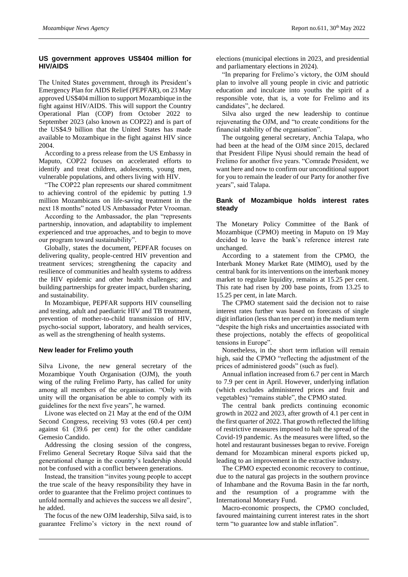# **US government approves US\$404 million for HIV/AIDS**

The United States government, through its President's Emergency Plan for AIDS Relief (PEPFAR), on 23 May approved US\$404 million to support Mozambique in the fight against HIV/AIDS. This will support the Country Operational Plan (COP) from October 2022 to September 2023 (also known as COP22) and is part of the US\$4.9 billion that the United States has made available to Mozambique in the fight against HIV since 2004.

According to a press release from the US Embassy in Maputo, COP22 focuses on accelerated efforts to identify and treat children, adolescents, young men, vulnerable populations, and others living with HIV.

"The COP22 plan represents our shared commitment to achieving control of the epidemic by putting 1.9 million Mozambicans on life-saving treatment in the next 18 months" noted US Ambassador Peter Vrooman.

According to the Ambassador, the plan "represents partnership, innovation, and adaptability to implement experienced and true approaches, and to begin to move our program toward sustainability".

Globally, states the document, PEPFAR focuses on delivering quality, people-centred HIV prevention and treatment services; strengthening the capacity and resilience of communities and health systems to address the HIV epidemic and other health challenges; and building partnerships for greater impact, burden sharing, and sustainability.

In Mozambique, PEPFAR supports HIV counselling and testing, adult and paediatric HIV and TB treatment, prevention of mother-to-child transmission of HIV, psycho-social support, laboratory, and health services, as well as the strengthening of health systems.

# **New leader for Frelimo youth**

Silva Livone, the new general secretary of the Mozambique Youth Organisation (OJM), the youth wing of the ruling Frelimo Party, has called for unity among all members of the organisation. "Only with unity will the organisation be able to comply with its guidelines for the next five years", he warned.

Livone was elected on 21 May at the end of the OJM Second Congress, receiving 93 votes (60.4 per cent) against 61 (39.6 per cent) for the other candidate Gemesio Candido.

Addressing the closing session of the congress, Frelimo General Secretary Roque Silva said that the generational change in the country's leadership should not be confused with a conflict between generations.

Instead, the transition "invites young people to accept the true scale of the heavy responsibility they have in order to guarantee that the Frelimo project continues to unfold normally and achieves the success we all desire", he added.

The focus of the new OJM leadership, Silva said, is to guarantee Frelimo's victory in the next round of elections (municipal elections in 2023, and presidential and parliamentary elections in 2024).

"In preparing for Frelimo's victory, the OJM should plan to involve all young people in civic and patriotic education and inculcate into youths the spirit of a responsible vote, that is, a vote for Frelimo and its candidates", he declared.

Silva also urged the new leadership to continue rejuvenating the OJM, and "to create conditions for the financial stability of the organisation".

The outgoing general secretary, Anchia Talapa, who had been at the head of the OJM since 2015, declared that President Filipe Nyusi should remain the head of Frelimo for another five years. "Comrade President, we want here and now to confirm our unconditional support for you to remain the leader of our Party for another five years", said Talapa.

# **Bank of Mozambique holds interest rates steady**

The Monetary Policy Committee of the Bank of Mozambique (CPMO) meeting in Maputo on 19 May decided to leave the bank's reference interest rate unchanged.

According to a statement from the CPMO, the Interbank Money Market Rate (MIMO), used by the central bank for its interventions on the interbank money market to regulate liquidity, remains at 15.25 per cent. This rate had risen by 200 base points, from 13.25 to 15.25 per cent, in late March.

The CPMO statement said the decision not to raise interest rates further was based on forecasts of single digit inflation (less than ten per cent) in the medium term "despite the high risks and uncertainties associated with these projections, notably the effects of geopolitical tensions in Europe".

Nonetheless, in the short term inflation will remain high, said the CPMO "reflecting the adjustment of the prices of administered goods" (such as fuel).

Annual inflation increased from 6.7 per cent in March to 7.9 per cent in April. However, underlying inflation (which excludes administered prices and fruit and vegetables) "remains stable", the CPMO stated.

The central bank predicts continuing economic growth in 2022 and 2023, after growth of 4.1 per cent in the first quarter of 2022. That growth reflected the lifting of restrictive measures imposed to halt the spread of the Covid-19 pandemic. As the measures were lifted, so the hotel and restaurant businesses began to revive. Foreign demand for Mozambican mineral exports picked up, leading to an improvement in the extractive industry.

The CPMO expected economic recovery to continue, due to the natural gas projects in the southern province of Inhambane and the Rovuma Basin in the far north, and the resumption of a programme with the International Monetary Fund.

Macro-economic prospects, the CPMO concluded, favoured maintaining current interest rates in the short term "to guarantee low and stable inflation".